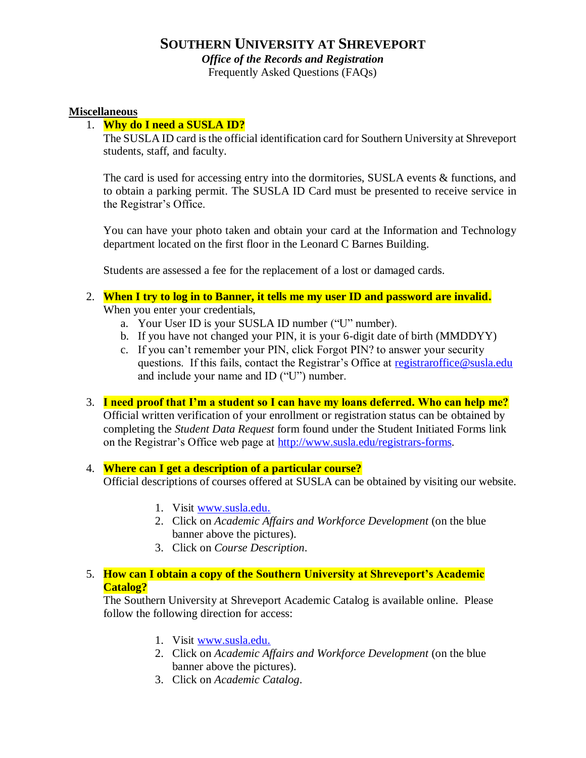# **SOUTHERN UNIVERSITY AT SHREVEPORT**

*Office of the Records and Registration* 

Frequently Asked Questions (FAQs)

#### **Miscellaneous**

#### 1. **Why do I need a SUSLA ID?**

The SUSLA ID card is the official identification card for Southern University at Shreveport students, staff, and faculty.

The card is used for accessing entry into the dormitories, SUSLA events & functions, and to obtain a parking permit. The SUSLA ID Card must be presented to receive service in the Registrar's Office.

You can have your photo taken and obtain your card at the Information and Technology department located on the first floor in the Leonard C Barnes Building.

Students are assessed a fee for the replacement of a lost or damaged cards.

- 2. **When I try to log in to Banner, it tells me my user ID and password are invali[d.](http://www.du.edu/registrar/regfaq/)** When you enter your credentials,
	- a. Your User ID is your SUSLA ID number ("U" number).
	- b. If you have not changed your PIN, it is your 6-digit date of birth (MMDDYY)
	- c. If you can't remember your PIN, click Forgot PIN? to answer your security questions. If this fails, contact the Registrar's Office at [registraroffice@susla.edu](mailto:registraroffice@susla.edu) and include your name and ID ("U") number.
- 3. **I need proof that I'm a student so I can have my loans deferred. Who can help me?** Official written verification of your enrollment or registration status can be obtained by completing the *Student Data Request* form found under the Student Initiated Forms link on the Registrar's Office web page at [http://www.susla.edu/registrars-forms.](http://www.susla.edu/registrars-forms)

#### 4. **Where can I get a description of a particular course?** Official descriptions of courses offered at SUSLA can be obtained by visiting our website.

- 1. Visit [www.susla.edu.](http://www.susla.edu/)
- 2. Click on *Academic Affairs and Workforce Development* (on the blue banner above the pictures).
- 3. Click on *Course Description*.

#### 5. **How can I obtain a copy of the Southern University at Shreveport's Academic Catalog?**

The Southern University at Shreveport Academic Catalog is available online. Please follow the following direction for access:

- 1. Visit [www.susla.edu.](http://www.susla.edu/)
- 2. Click on *Academic Affairs and Workforce Development* (on the blue banner above the pictures).
- 3. Click on *Academic Catalog*.